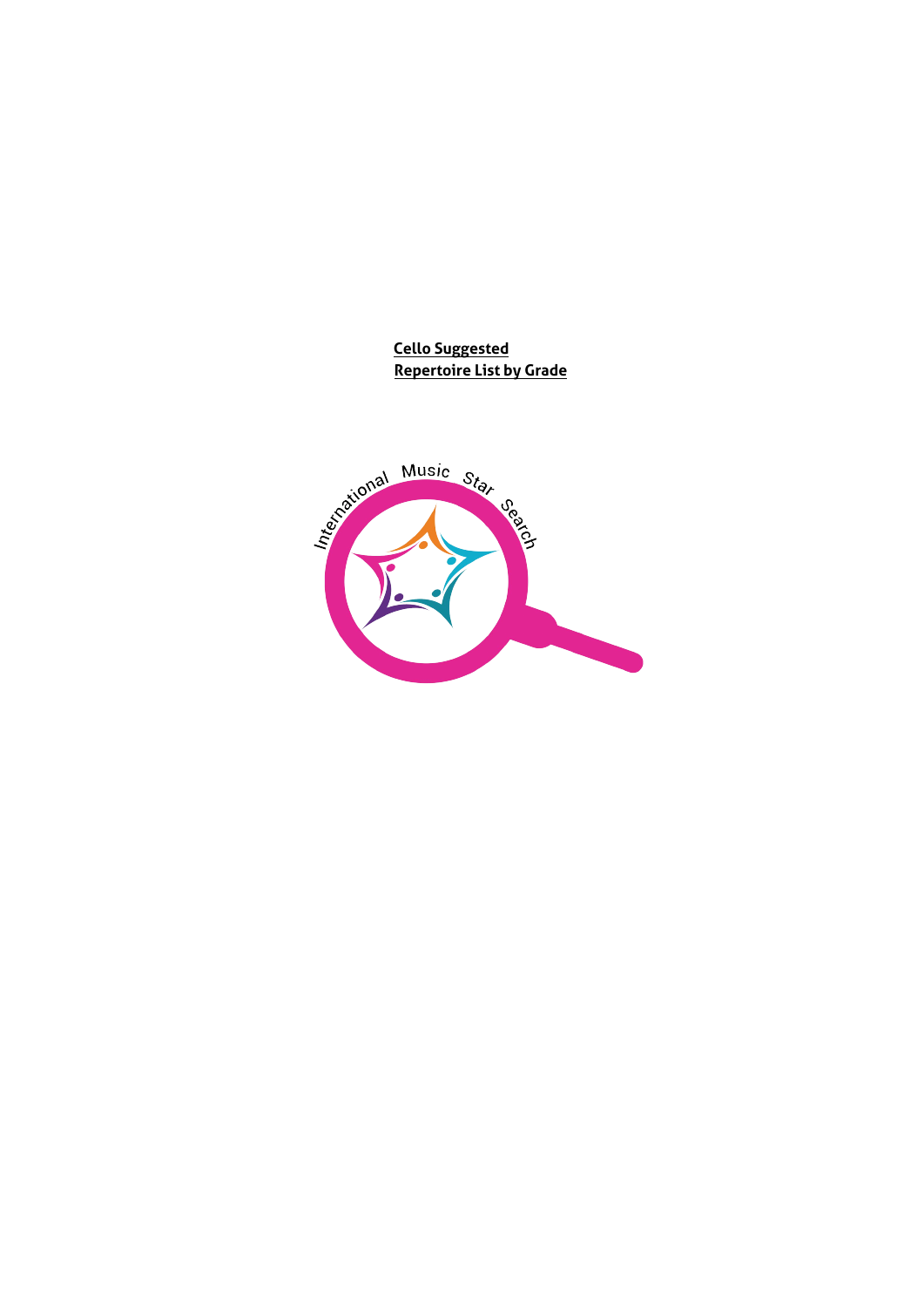**Cello Suggested Repertoire List by Grade**

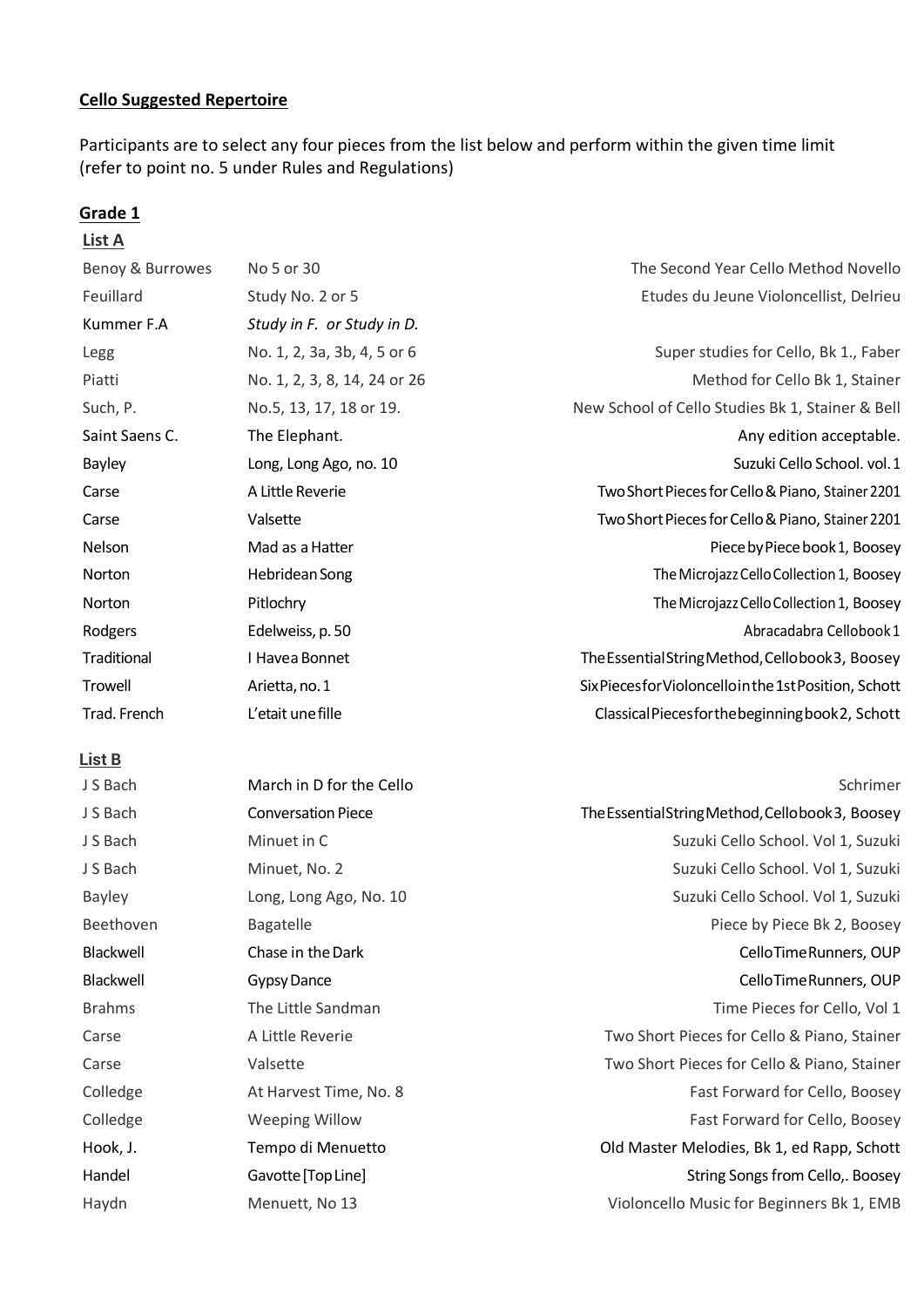## **Cello Suggested Repertoire**

Participants are to select any four pieces from the list below and perform within the given time limit (refer to point no. 5 under Rules and Regulations)

### **Grade 1**

| List A           |                              |                                                        |
|------------------|------------------------------|--------------------------------------------------------|
| Benoy & Burrowes | No 5 or 30                   | The Second Year Cello Method Novello                   |
| Feuillard        | Study No. 2 or 5             | Etudes du Jeune Violoncellist, Delrieu                 |
| Kummer F.A       | Study in F. or Study in D.   |                                                        |
| Legg             | No. 1, 2, 3a, 3b, 4, 5 or 6  | Super studies for Cello, Bk 1., Faber                  |
| Piatti           | No. 1, 2, 3, 8, 14, 24 or 26 | Method for Cello Bk 1, Stainer                         |
| Such, P.         | No.5, 13, 17, 18 or 19.      | New School of Cello Studies Bk 1, Stainer & Bell       |
| Saint Saens C.   | The Elephant.                | Any edition acceptable.                                |
| <b>Bayley</b>    | Long, Long Ago, no. 10       | Suzuki Cello School. vol. 1                            |
| Carse            | A Little Reverie             | Two Short Pieces for Cello & Piano, Stainer 2201       |
| Carse            | Valsette                     | Two Short Pieces for Cello & Piano, Stainer 2201       |
| Nelson           | Mad as a Hatter              | Piece by Piece book 1, Boosey                          |
| Norton           | Hebridean Song               | The Microjazz Cello Collection 1, Boosey               |
| <b>Norton</b>    | Pitlochry                    | The Microjazz Cello Collection 1, Boosey               |
| Rodgers          | Edelweiss, p. 50             | Abracadabra Cellobook1                                 |
| Traditional      | I Havea Bonnet               | The Essential String Method, Cellobook 3, Boosey       |
| Trowell          | Arietta, no. 1               | Six Pieces for Violoncello in the 1st Position, Schott |
| Trad. French     | L'etait une fille            | Classical Pieces for the beginning book 2, Schott      |
|                  |                              |                                                        |

| J S Bach      | March in D for the Cello  | Schrimer                                         |
|---------------|---------------------------|--------------------------------------------------|
| J S Bach      | <b>Conversation Piece</b> | The Essential String Method, Cellobook 3, Boosey |
| J S Bach      | Minuet in C               | Suzuki Cello School. Vol 1, Suzuki               |
| J S Bach      | Minuet, No. 2             | Suzuki Cello School. Vol 1, Suzuki               |
| <b>Bayley</b> | Long, Long Ago, No. 10    | Suzuki Cello School. Vol 1, Suzuki               |
| Beethoven     | <b>Bagatelle</b>          | Piece by Piece Bk 2, Boosey                      |
| Blackwell     | Chase in the Dark         | CelloTimeRunners, OUP                            |
| Blackwell     | <b>Gypsy Dance</b>        | CelloTimeRunners, OUP                            |
| <b>Brahms</b> | The Little Sandman        | Time Pieces for Cello, Vol 1                     |
| Carse         | A Little Reverie          | Two Short Pieces for Cello & Piano, Stainer      |
| Carse         | Valsette                  | Two Short Pieces for Cello & Piano, Stainer      |
| Colledge      | At Harvest Time, No. 8    | Fast Forward for Cello, Boosey                   |
| Colledge      | <b>Weeping Willow</b>     | Fast Forward for Cello, Boosey                   |
| Hook, J.      | Tempo di Menuetto         | Old Master Melodies, Bk 1, ed Rapp, Schott       |
| Handel        | Gavotte [Top Line]        | String Songs from Cello,. Boosey                 |
| Haydn         | Menuett, No 13            | Violoncello Music for Beginners Bk 1, EMB        |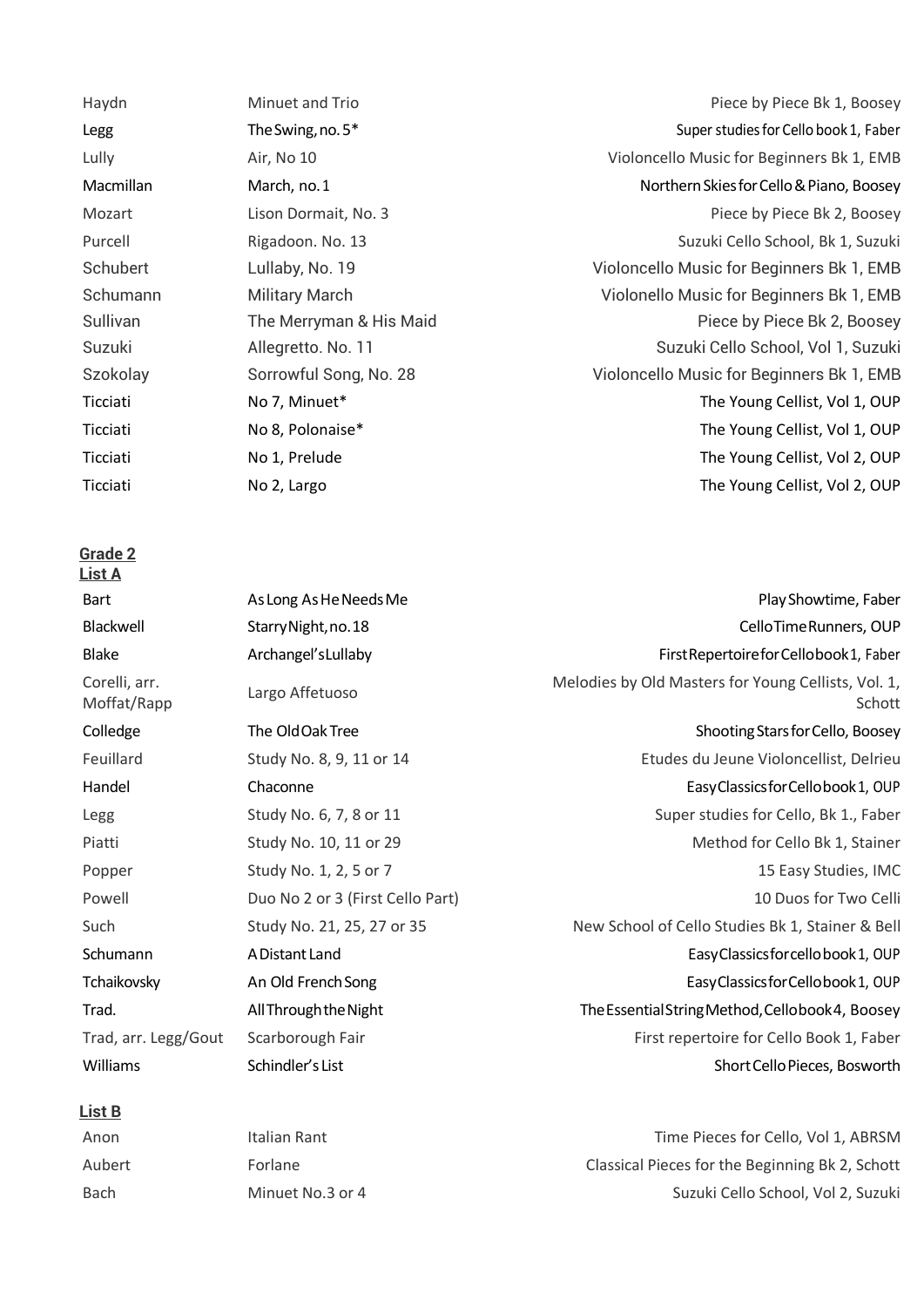**List A** Bart As Long As He Needs Me **Play Showtime, Faber** Play Showtime, Faber Blackwell StarryNight,no.18 CelloTimeRunners, OUP Blake Archangel'sLullaby First Repertoirefor Cellobook 1, Faber Corelli, arr. Corelli, arr.<br>Melodies by Old Masters for Young Cellists, Vol. 1,<br>Schott Colledge The Old Oak Tree Shooting Stars for Cello, Boosey Shooting Stars for Cello, Boosey Feuillard Study No. 8, 9, 11 or 14 Etudes du Jeune Violoncellist, Delrieu Handel Chaconne EasyClassicsforCellobook1, OUP Legg Study No. 6, 7, 8 or 11 Super studies for Cello, Bk 1., Faber studies for Cello, Bk 1., Faber Piatti Study No. 10, 11 or 29 Method for Cello Bk 1, Stainer Popper Study No. 1, 2, 5 or 7 15 Easy Studies, IMC Powell **Example 2** Duo No 2 or 3 (First Cello Part) 10 Duos for Two Celli Such Study No. 21, 25, 27 or 35 New School of Cello Studies Bk 1, Stainer & Bell Schumann and ADistant Land EasyClassicsforcellobook 1, OUP Tchaikovsky **An Old French Song EasyClassicsforCellobook1**, OUP Trad. AllThroughtheNight TheEssentialStringMethod,Cellobook4, Boosey Trad, arr. Legg/Gout Scarborough Fair First repertoire for Cello Book 1, Faber Williams Schindler's List Schindler's List Short Cello Pieces, Bosworth

### **List B**

Haydn Minuet and Trio Piece by Piece Bk 1, Boosey Legg The Swing, no. 5<sup>\*</sup> Super studies for Cello book 1, Faber studies for Cello book 1, Faber Lully **Air, No 10** Air, No 10 Air, No 10 And Allen Music for Beginners Bk 1, EMB Macmillan March, no.1 NorthernSkiesforCello&Piano, Boosey Mozart Lison Dormait, No. 3 Piece by Piece Bk 2, Boosey Purcell Rigadoon. No. 13 Suzuki Cello School, Bk 1, Suzuki Schubert Lullaby, No. 19 Violoncello Music for Beginners Bk 1, EMB Schumann Military March Violonello Music for Beginners Bk 1, EMB Sullivan The Merryman & His Maid Contract Contract Piece by Piece Bk 2, Boosey Suzuki Allegretto. No. 11 Suzuki Cello School, Vol 1, Suzuki Szokolay Sorrowful Song, No. 28 Violoncello Music for Beginners Bk 1, EMB Ticciati 1982 No 7, Minuet\* The Young Cellist, Vol 1, OUP Ticciati 1983 No 8, Polonaise\* The Young Cellist, Vol 1, OUP Ticciati No 1, Prelude The Young Cellist, Vol 2, OUP Ticciati No 2, Largo The Young Cellist, Vol 2, OUP

Anon **Italian Rant** Italian Rant **Italian Rant Cello, Vol 1, ABRSM** Aubert Forlane Classical Pieces for the Beginning Bk 2, Schott Bach Minuet No.3 or 4 Suzuki Cello School, Vol 2, Suzuki Cello School, Vol 2, Suzuki

Schott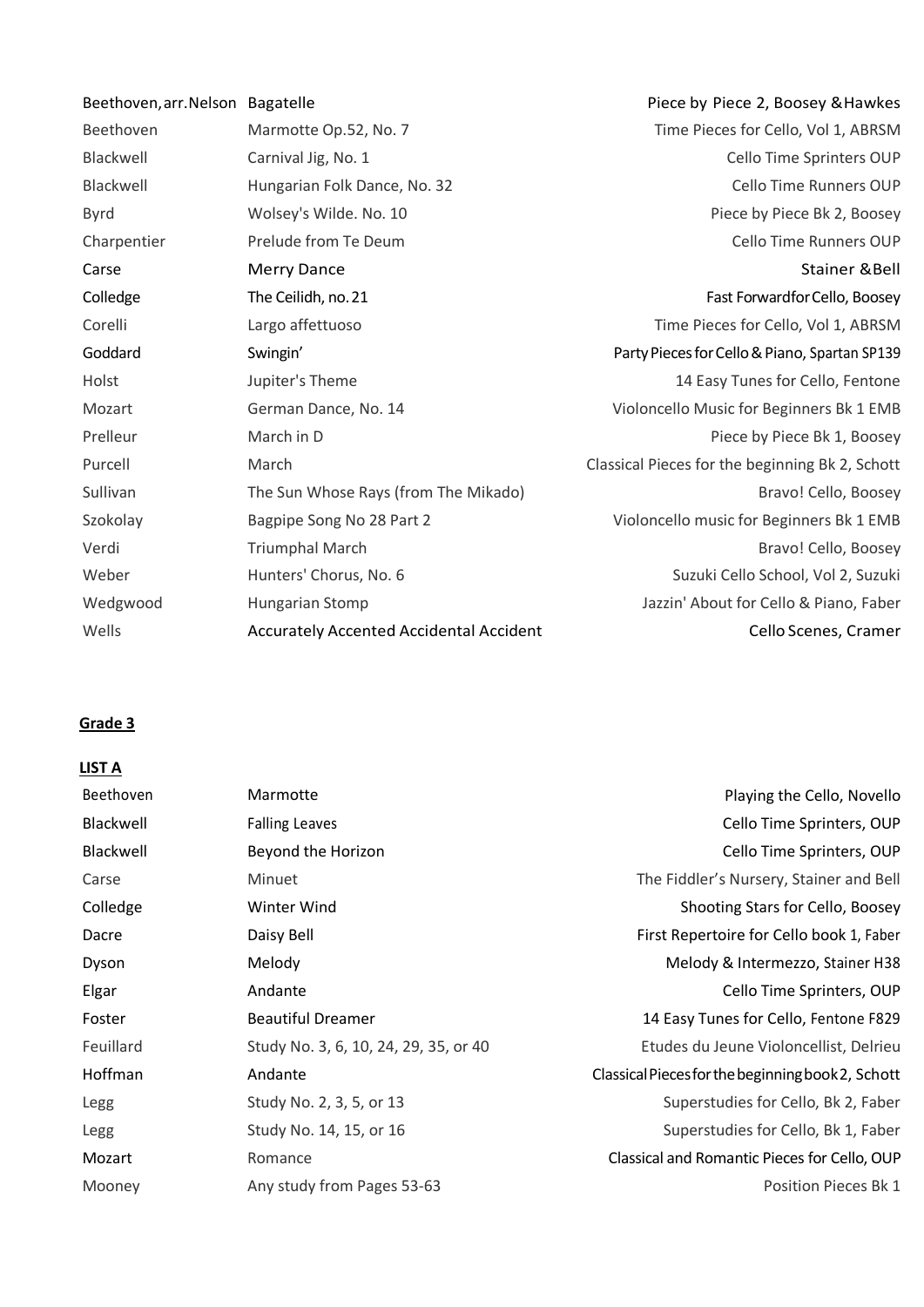| Beethoven, arr. Nelson Bagatelle |                                         | Piece by Piece 2, Boosey & Hawkes               |
|----------------------------------|-----------------------------------------|-------------------------------------------------|
| Beethoven                        | Marmotte Op.52, No. 7                   | Time Pieces for Cello, Vol 1, ABRSM             |
| Blackwell                        | Carnival Jig, No. 1                     | Cello Time Sprinters OUP                        |
| Blackwell                        | Hungarian Folk Dance, No. 32            | Cello Time Runners OUP                          |
| <b>Byrd</b>                      | Wolsey's Wilde. No. 10                  | Piece by Piece Bk 2, Boosey                     |
| Charpentier                      | Prelude from Te Deum                    | Cello Time Runners OUP                          |
| Carse                            | <b>Merry Dance</b>                      | <b>Stainer &amp; Bell</b>                       |
| Colledge                         | The Ceilidh, no. 21                     | Fast Forwardfor Cello, Boosey                   |
| Corelli                          | Largo affettuoso                        | Time Pieces for Cello, Vol 1, ABRSM             |
| Goddard                          | Swingin'                                | Party Pieces for Cello & Piano, Spartan SP139   |
| Holst                            | Jupiter's Theme                         | 14 Easy Tunes for Cello, Fentone                |
| Mozart                           | German Dance, No. 14                    | Violoncello Music for Beginners Bk 1 EMB        |
| Prelleur                         | March in D                              | Piece by Piece Bk 1, Boosey                     |
| Purcell                          | March                                   | Classical Pieces for the beginning Bk 2, Schott |
| Sullivan                         | The Sun Whose Rays (from The Mikado)    | Bravo! Cello, Boosey                            |
| Szokolay                         | Bagpipe Song No 28 Part 2               | Violoncello music for Beginners Bk 1 EMB        |
| Verdi                            | <b>Triumphal March</b>                  | Bravo! Cello, Boosey                            |
| Weber                            | Hunters' Chorus, No. 6                  | Suzuki Cello School, Vol 2, Suzuki              |
| Wedgwood                         | Hungarian Stomp                         | Jazzin' About for Cello & Piano, Faber          |
| Wells                            | Accurately Accented Accidental Accident | Cello Scenes, Cramer                            |
|                                  |                                         |                                                 |

## **LIST A**

| <b>Beethoven</b> | Marmotte                              | Playing the Cello, Novello                        |
|------------------|---------------------------------------|---------------------------------------------------|
| <b>Blackwell</b> | <b>Falling Leaves</b>                 | Cello Time Sprinters, OUP                         |
| Blackwell        | Beyond the Horizon                    | Cello Time Sprinters, OUP                         |
| Carse            | Minuet                                | The Fiddler's Nursery, Stainer and Bell           |
| Colledge         | Winter Wind                           | Shooting Stars for Cello, Boosey                  |
| Dacre            | Daisy Bell                            | First Repertoire for Cello book 1, Faber          |
| Dyson            | Melody                                | Melody & Intermezzo, Stainer H38                  |
| Elgar            | Andante                               | Cello Time Sprinters, OUP                         |
| Foster           | <b>Beautiful Dreamer</b>              | 14 Easy Tunes for Cello, Fentone F829             |
| Feuillard        | Study No. 3, 6, 10, 24, 29, 35, or 40 | Etudes du Jeune Violoncellist, Delrieu            |
| Hoffman          | Andante                               | Classical Pieces for the beginning book 2, Schott |
| Legg             | Study No. 2, 3, 5, or 13              | Superstudies for Cello, Bk 2, Faber               |
| Legg             | Study No. 14, 15, or 16               | Superstudies for Cello, Bk 1, Faber               |
| Mozart           | Romance                               | Classical and Romantic Pieces for Cello, OUP      |
| Mooney           | Any study from Pages 53-63            | Position Pieces Bk 1                              |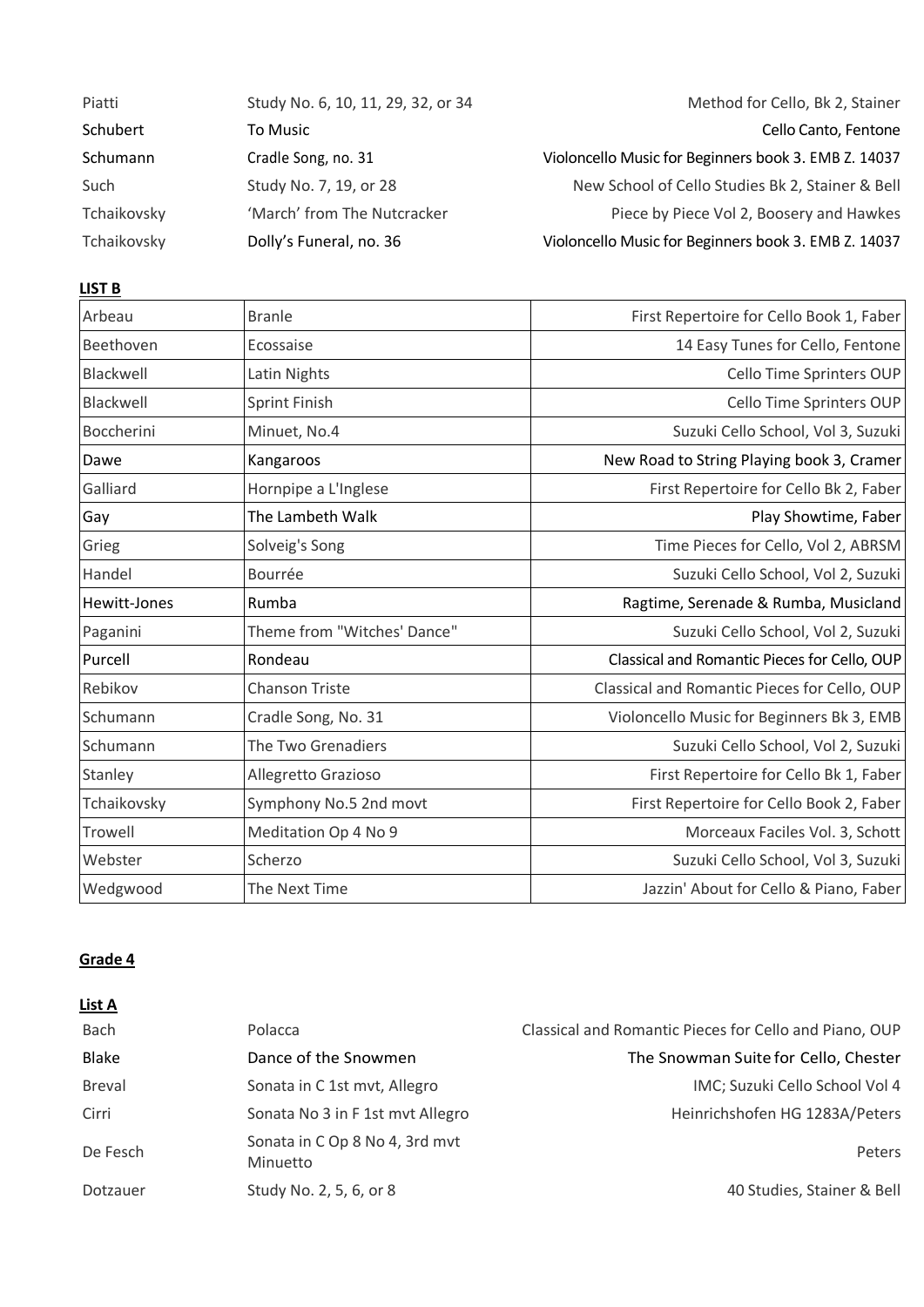| Piatti      | Study No. 6, 10, 11, 29, 32, or 34 | Method for Cello, Bk 2, Stainer                      |
|-------------|------------------------------------|------------------------------------------------------|
| Schubert    | To Music                           | Cello Canto, Fentone                                 |
| Schumann    | Cradle Song, no. 31                | Violoncello Music for Beginners book 3. EMB Z. 14037 |
| Such        | Study No. 7, 19, or 28             | New School of Cello Studies Bk 2, Stainer & Bell     |
| Tchaikovsky | 'March' from The Nutcracker        | Piece by Piece Vol 2, Boosery and Hawkes             |
| Tchaikovsky | Dolly's Funeral, no. 36            | Violoncello Music for Beginners book 3. EMB Z. 14037 |

## **LIST B**

| Arbeau       | <b>Branle</b>               | First Repertoire for Cello Book 1, Faber     |
|--------------|-----------------------------|----------------------------------------------|
| Beethoven    | Ecossaise                   | 14 Easy Tunes for Cello, Fentone             |
| Blackwell    | Latin Nights                | Cello Time Sprinters OUP                     |
| Blackwell    | Sprint Finish               | Cello Time Sprinters OUP                     |
| Boccherini   | Minuet, No.4                | Suzuki Cello School, Vol 3, Suzuki           |
| Dawe         | Kangaroos                   | New Road to String Playing book 3, Cramer    |
| Galliard     | Hornpipe a L'Inglese        | First Repertoire for Cello Bk 2, Faber       |
| Gay          | The Lambeth Walk            | Play Showtime, Faber                         |
| Grieg        | Solveig's Song              | Time Pieces for Cello, Vol 2, ABRSM          |
| Handel       | Bourrée                     | Suzuki Cello School, Vol 2, Suzuki           |
| Hewitt-Jones | Rumba                       | Ragtime, Serenade & Rumba, Musicland         |
| Paganini     | Theme from "Witches' Dance" | Suzuki Cello School, Vol 2, Suzuki           |
| Purcell      | Rondeau                     | Classical and Romantic Pieces for Cello, OUP |
| Rebikov      | <b>Chanson Triste</b>       | Classical and Romantic Pieces for Cello, OUP |
| Schumann     | Cradle Song, No. 31         | Violoncello Music for Beginners Bk 3, EMB    |
| Schumann     | The Two Grenadiers          | Suzuki Cello School, Vol 2, Suzuki           |
| Stanley      | Allegretto Grazioso         | First Repertoire for Cello Bk 1, Faber       |
| Tchaikovsky  | Symphony No.5 2nd movt      | First Repertoire for Cello Book 2, Faber     |
| Trowell      | Meditation Op 4 No 9        | Morceaux Faciles Vol. 3, Schott              |
| Webster      | Scherzo                     | Suzuki Cello School, Vol 3, Suzuki           |
| Wedgwood     | The Next Time               | Jazzin' About for Cello & Piano, Faber       |

## **Grade 4**

#### **List A**

| <b>Bach</b>   | Polacca                                    | Classical and Romantic Pieces for Cello and Piano, OUP |
|---------------|--------------------------------------------|--------------------------------------------------------|
| <b>Blake</b>  | Dance of the Snowmen                       | The Snowman Suite for Cello, Chester                   |
| <b>Breval</b> | Sonata in C 1st mvt, Allegro               | IMC; Suzuki Cello School Vol 4                         |
| Cirri         | Sonata No 3 in F 1st mvt Allegro           | Heinrichshofen HG 1283A/Peters                         |
| De Fesch      | Sonata in C Op 8 No 4, 3rd mvt<br>Minuetto | Peters                                                 |
| Dotzauer      | Study No. 2, 5, 6, or 8                    | 40 Studies, Stainer & Bell                             |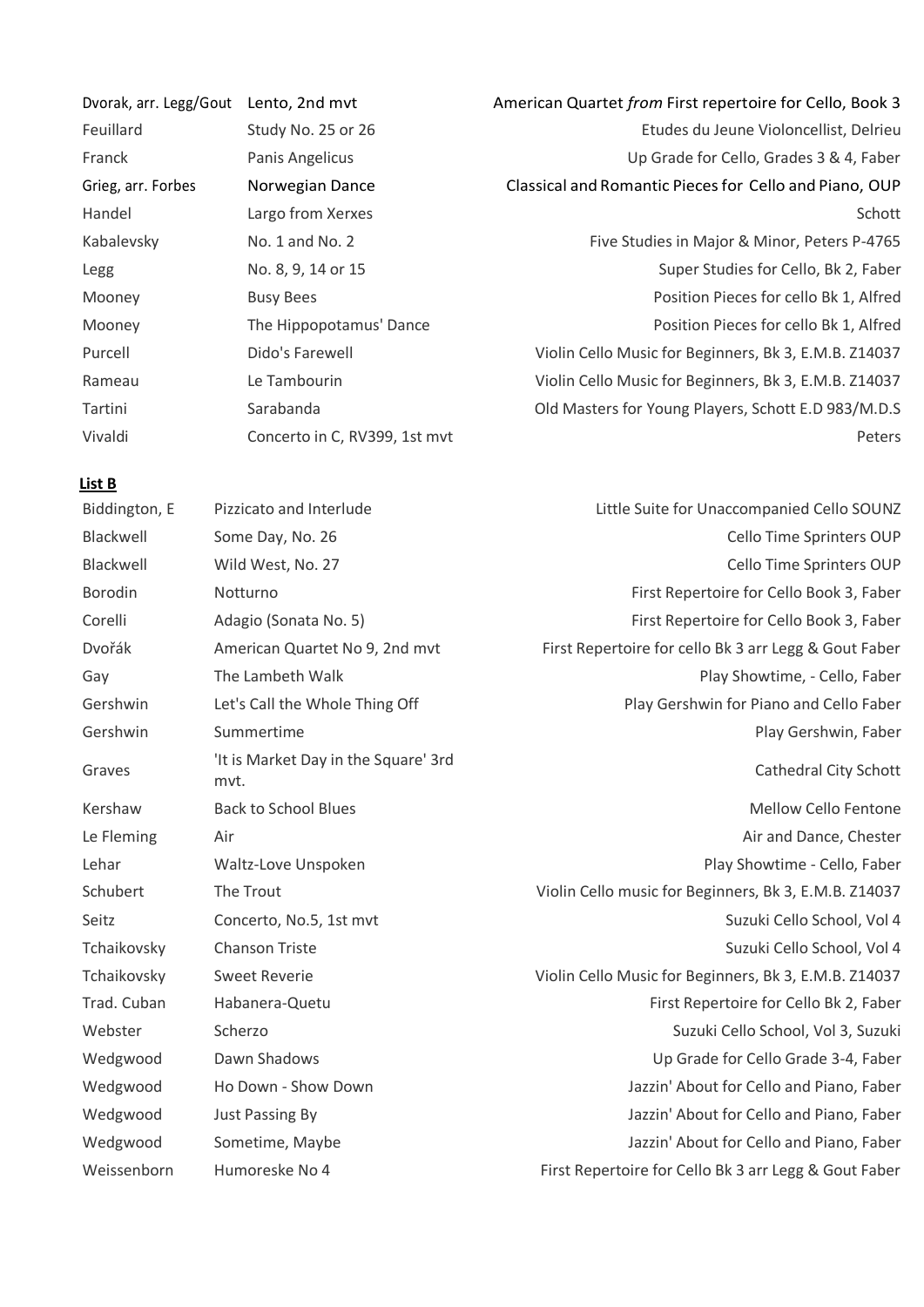| Dvorak, arr. Legg/Gout | Lento, 2nd mvt                | American Quartet from First repertoire for Cello, Book 3 |
|------------------------|-------------------------------|----------------------------------------------------------|
| Feuillard              | Study No. 25 or 26            | Etudes du Jeune Violoncellist, Delrieu                   |
| Franck                 | Panis Angelicus               | Up Grade for Cello, Grades 3 & 4, Faber                  |
| Grieg, arr. Forbes     | Norwegian Dance               | Classical and Romantic Pieces for Cello and Piano, OUP   |
| Handel                 | Largo from Xerxes             | Schott                                                   |
| Kabalevsky             | No. $1$ and No. $2$           | Five Studies in Major & Minor, Peters P-4765             |
| Legg                   | No. 8, 9, 14 or 15            | Super Studies for Cello, Bk 2, Faber                     |
| Mooney                 | <b>Busy Bees</b>              | Position Pieces for cello Bk 1, Alfred                   |
| Mooney                 | The Hippopotamus' Dance       | Position Pieces for cello Bk 1, Alfred                   |
| Purcell                | Dido's Farewell               | Violin Cello Music for Beginners, Bk 3, E.M.B. Z14037    |
| Rameau                 | Le Tambourin                  | Violin Cello Music for Beginners, Bk 3, E.M.B. Z14037    |
| Tartini                | Sarabanda                     | Old Masters for Young Players, Schott E.D 983/M.D.S      |
| Vivaldi                | Concerto in C, RV399, 1st mvt | Peters                                                   |

| Biddington, E | Pizzicato and Interlude                      | Little Suite for Unaccompanied Cello SOUNZ            |
|---------------|----------------------------------------------|-------------------------------------------------------|
| Blackwell     | Some Day, No. 26                             | Cello Time Sprinters OUP                              |
| Blackwell     | Wild West, No. 27                            | Cello Time Sprinters OUP                              |
| Borodin       | Notturno                                     | First Repertoire for Cello Book 3, Faber              |
| Corelli       | Adagio (Sonata No. 5)                        | First Repertoire for Cello Book 3, Faber              |
| Dvořák        | American Quartet No 9, 2nd mvt               | First Repertoire for cello Bk 3 arr Legg & Gout Faber |
| Gay           | The Lambeth Walk                             | Play Showtime, - Cello, Faber                         |
| Gershwin      | Let's Call the Whole Thing Off               | Play Gershwin for Piano and Cello Faber               |
| Gershwin      | Summertime                                   | Play Gershwin, Faber                                  |
| Graves        | 'It is Market Day in the Square' 3rd<br>mvt. | <b>Cathedral City Schott</b>                          |
| Kershaw       | <b>Back to School Blues</b>                  | <b>Mellow Cello Fentone</b>                           |
| Le Fleming    | Air                                          | Air and Dance, Chester                                |
| Lehar         | Waltz-Love Unspoken                          | Play Showtime - Cello, Faber                          |
| Schubert      | The Trout                                    | Violin Cello music for Beginners, Bk 3, E.M.B. Z14037 |
| Seitz         | Concerto, No.5, 1st mvt                      | Suzuki Cello School, Vol 4                            |
| Tchaikovsky   | <b>Chanson Triste</b>                        | Suzuki Cello School, Vol 4                            |
| Tchaikovsky   | <b>Sweet Reverie</b>                         | Violin Cello Music for Beginners, Bk 3, E.M.B. Z14037 |
| Trad. Cuban   | Habanera-Quetu                               | First Repertoire for Cello Bk 2, Faber                |
| Webster       | Scherzo                                      | Suzuki Cello School, Vol 3, Suzuki                    |
| Wedgwood      | Dawn Shadows                                 | Up Grade for Cello Grade 3-4, Faber                   |
| Wedgwood      | Ho Down - Show Down                          | Jazzin' About for Cello and Piano, Faber              |
| Wedgwood      | Just Passing By                              | Jazzin' About for Cello and Piano, Faber              |
| Wedgwood      | Sometime, Maybe                              | Jazzin' About for Cello and Piano, Faber              |
| Weissenborn   | Humoreske No 4                               | First Repertoire for Cello Bk 3 arr Legg & Gout Faber |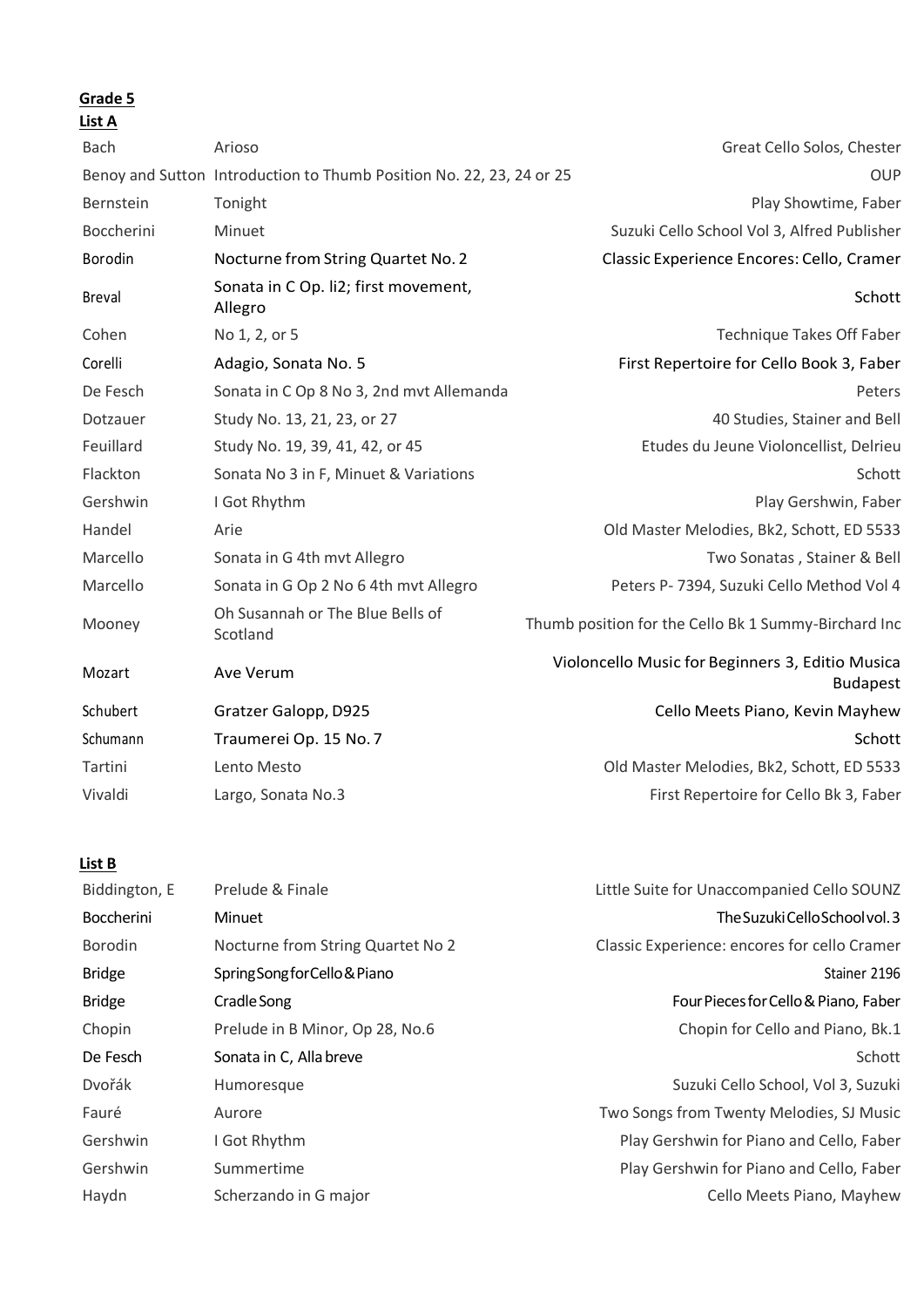**List A**

| ыэь м         |                                                                      |                                                                     |
|---------------|----------------------------------------------------------------------|---------------------------------------------------------------------|
| <b>Bach</b>   | Arioso                                                               | Great Cello Solos, Chester                                          |
|               | Benoy and Sutton Introduction to Thumb Position No. 22, 23, 24 or 25 | <b>OUP</b>                                                          |
| Bernstein     | Tonight                                                              | Play Showtime, Faber                                                |
| Boccherini    | Minuet                                                               | Suzuki Cello School Vol 3, Alfred Publisher                         |
| Borodin       | Nocturne from String Quartet No. 2                                   | Classic Experience Encores: Cello, Cramer                           |
| <b>Breval</b> | Sonata in C Op. li2; first movement,<br>Allegro                      | Schott                                                              |
| Cohen         | No 1, 2, or 5                                                        | Technique Takes Off Faber                                           |
| Corelli       | Adagio, Sonata No. 5                                                 | First Repertoire for Cello Book 3, Faber                            |
| De Fesch      | Sonata in C Op 8 No 3, 2nd mvt Allemanda                             | Peters                                                              |
| Dotzauer      | Study No. 13, 21, 23, or 27                                          | 40 Studies, Stainer and Bell                                        |
| Feuillard     | Study No. 19, 39, 41, 42, or 45                                      | Etudes du Jeune Violoncellist, Delrieu                              |
| Flackton      | Sonata No 3 in F, Minuet & Variations                                | Schott                                                              |
| Gershwin      | I Got Rhythm                                                         | Play Gershwin, Faber                                                |
| Handel        | Arie                                                                 | Old Master Melodies, Bk2, Schott, ED 5533                           |
| Marcello      | Sonata in G 4th mvt Allegro                                          | Two Sonatas, Stainer & Bell                                         |
| Marcello      | Sonata in G Op 2 No 6 4th mvt Allegro                                | Peters P- 7394, Suzuki Cello Method Vol 4                           |
| Mooney        | Oh Susannah or The Blue Bells of<br>Scotland                         | Thumb position for the Cello Bk 1 Summy-Birchard Inc                |
| Mozart        | Ave Verum                                                            | Violoncello Music for Beginners 3, Editio Musica<br><b>Budapest</b> |
| Schubert      | Gratzer Galopp, D925                                                 | Cello Meets Piano, Kevin Mayhew                                     |
| Schumann      | Traumerei Op. 15 No. 7                                               | Schott                                                              |
| Tartini       | Lento Mesto                                                          | Old Master Melodies, Bk2, Schott, ED 5533                           |
| Vivaldi       | Largo, Sonata No.3                                                   | First Repertoire for Cello Bk 3, Faber                              |
|               |                                                                      |                                                                     |

| Biddington, E     | Prelude & Finale                  | Little Suite for Unaccompanied Cello SOUNZ   |
|-------------------|-----------------------------------|----------------------------------------------|
| <b>Boccherini</b> | Minuet                            | The Suzuki Cello School vol. 3               |
| Borodin           | Nocturne from String Quartet No 2 | Classic Experience: encores for cello Cramer |
| <b>Bridge</b>     | Spring Song for Cello & Piano     | Stainer 2196                                 |
| <b>Bridge</b>     | Cradle Song                       | Four Pieces for Cello & Piano, Faber         |
| Chopin            | Prelude in B Minor, Op 28, No.6   | Chopin for Cello and Piano, Bk.1             |
| De Fesch          | Sonata in C, Alla breve           | Schott                                       |
| Dvořák            | Humoresque                        | Suzuki Cello School, Vol 3, Suzuki           |
| Fauré             | Aurore                            | Two Songs from Twenty Melodies, SJ Music     |
| Gershwin          | I Got Rhythm                      | Play Gershwin for Piano and Cello, Faber     |
| Gershwin          | Summertime                        | Play Gershwin for Piano and Cello, Faber     |
| Haydn             | Scherzando in G major             | Cello Meets Piano, Mayhew                    |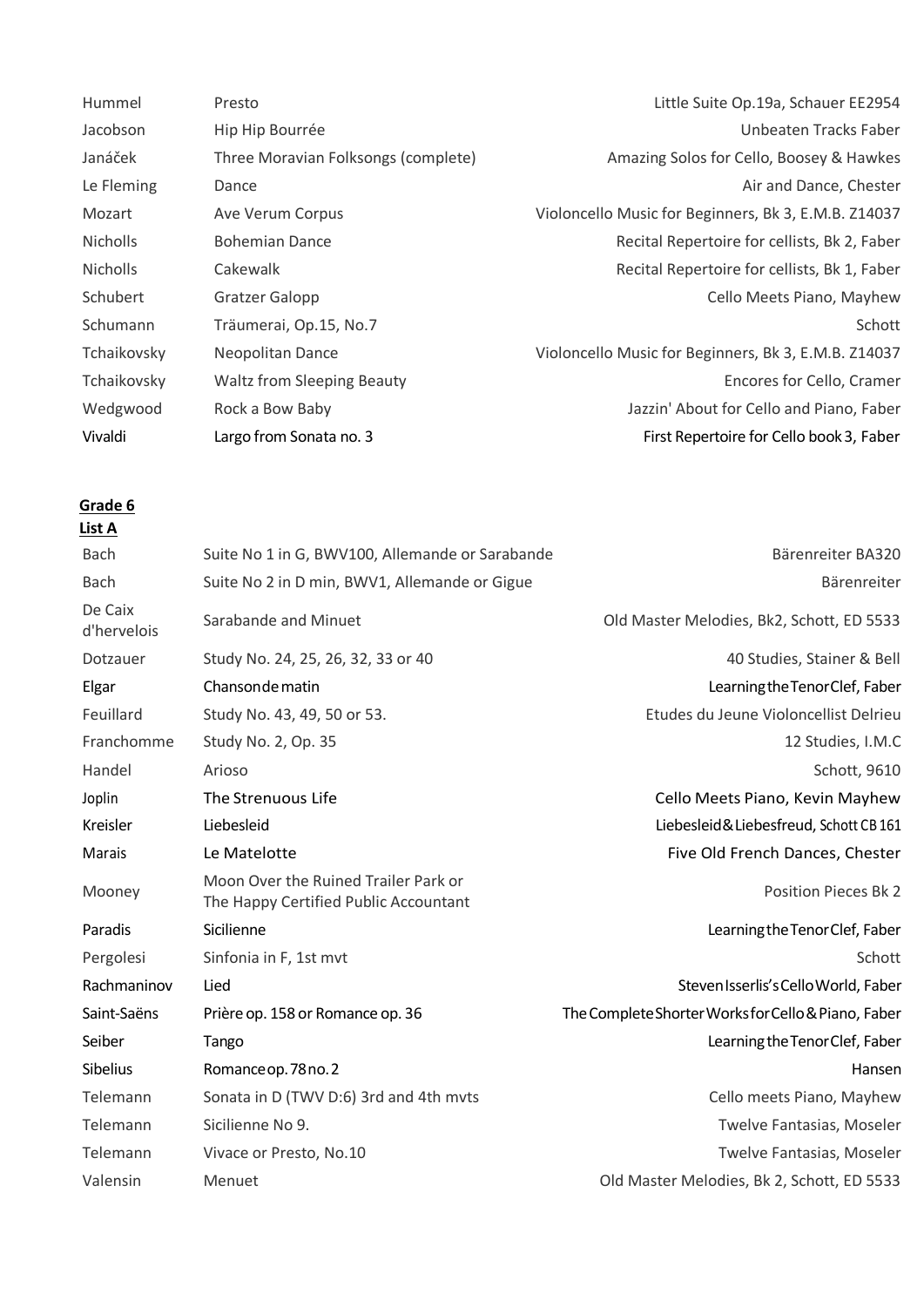| Hummel          | Presto                              | Little Suite Op.19a, Schauer EE2954                  |
|-----------------|-------------------------------------|------------------------------------------------------|
| Jacobson        | Hip Hip Bourrée                     | Unbeaten Tracks Faber                                |
| Janáček         | Three Moravian Folksongs (complete) | Amazing Solos for Cello, Boosey & Hawkes             |
| Le Fleming      | Dance                               | Air and Dance, Chester                               |
| Mozart          | Ave Verum Corpus                    | Violoncello Music for Beginners, Bk 3, E.M.B. Z14037 |
| <b>Nicholls</b> | <b>Bohemian Dance</b>               | Recital Repertoire for cellists, Bk 2, Faber         |
| <b>Nicholls</b> | Cakewalk                            | Recital Repertoire for cellists, Bk 1, Faber         |
| Schubert        | <b>Gratzer Galopp</b>               | Cello Meets Piano, Mayhew                            |
| Schumann        | Träumerai, Op.15, No.7              | Schott                                               |
| Tchaikovsky     | Neopolitan Dance                    | Violoncello Music for Beginners, Bk 3, E.M.B. Z14037 |
| Tchaikovsky     | <b>Waltz from Sleeping Beauty</b>   | Encores for Cello, Cramer                            |
| Wedgwood        | Rock a Bow Baby                     | Jazzin' About for Cello and Piano, Faber             |
| Vivaldi         | Largo from Sonata no. 3             | First Repertoire for Cello book 3, Faber             |

| List A                 |                                                                               |                                                     |
|------------------------|-------------------------------------------------------------------------------|-----------------------------------------------------|
| <b>Bach</b>            | Suite No 1 in G, BWV100, Allemande or Sarabande                               | Bärenreiter BA320                                   |
| <b>Bach</b>            | Suite No 2 in D min, BWV1, Allemande or Gigue                                 | Bärenreiter                                         |
| De Caix<br>d'hervelois | Sarabande and Minuet                                                          | Old Master Melodies, Bk2, Schott, ED 5533           |
| Dotzauer               | Study No. 24, 25, 26, 32, 33 or 40                                            | 40 Studies, Stainer & Bell                          |
| Elgar                  | Chanson de matin                                                              | Learning the Tenor Clef, Faber                      |
| Feuillard              | Study No. 43, 49, 50 or 53.                                                   | Etudes du Jeune Violoncellist Delrieu               |
| Franchomme             | Study No. 2, Op. 35                                                           | 12 Studies, I.M.C                                   |
| Handel                 | Arioso                                                                        | Schott, 9610                                        |
| Joplin                 | The Strenuous Life                                                            | Cello Meets Piano, Kevin Mayhew                     |
| Kreisler               | Liebesleid                                                                    | Liebesleid & Liebesfreud, Schott CB 161             |
| <b>Marais</b>          | Le Matelotte                                                                  | Five Old French Dances, Chester                     |
| Mooney                 | Moon Over the Ruined Trailer Park or<br>The Happy Certified Public Accountant | <b>Position Pieces Bk 2</b>                         |
| Paradis                | Sicilienne                                                                    | Learning the Tenor Clef, Faber                      |
| Pergolesi              | Sinfonia in F, 1st mvt                                                        | Schott                                              |
| Rachmaninov            | Lied                                                                          | Steven Isserlis's Cello World, Faber                |
| Saint-Saëns            | Prière op. 158 or Romance op. 36                                              | The Complete Shorter Works for Cello & Piano, Faber |
| Seiber                 | Tango                                                                         | Learning the Tenor Clef, Faber                      |
| Sibelius               | Romance op. 78 no. 2                                                          | Hansen                                              |
| Telemann               | Sonata in D (TWV D:6) 3rd and 4th mvts                                        | Cello meets Piano, Mayhew                           |
| Telemann               | Sicilienne No 9.                                                              | Twelve Fantasias, Moseler                           |
| Telemann               | Vivace or Presto, No.10                                                       | Twelve Fantasias, Moseler                           |
| Valensin               | Menuet                                                                        | Old Master Melodies, Bk 2, Schott, ED 5533          |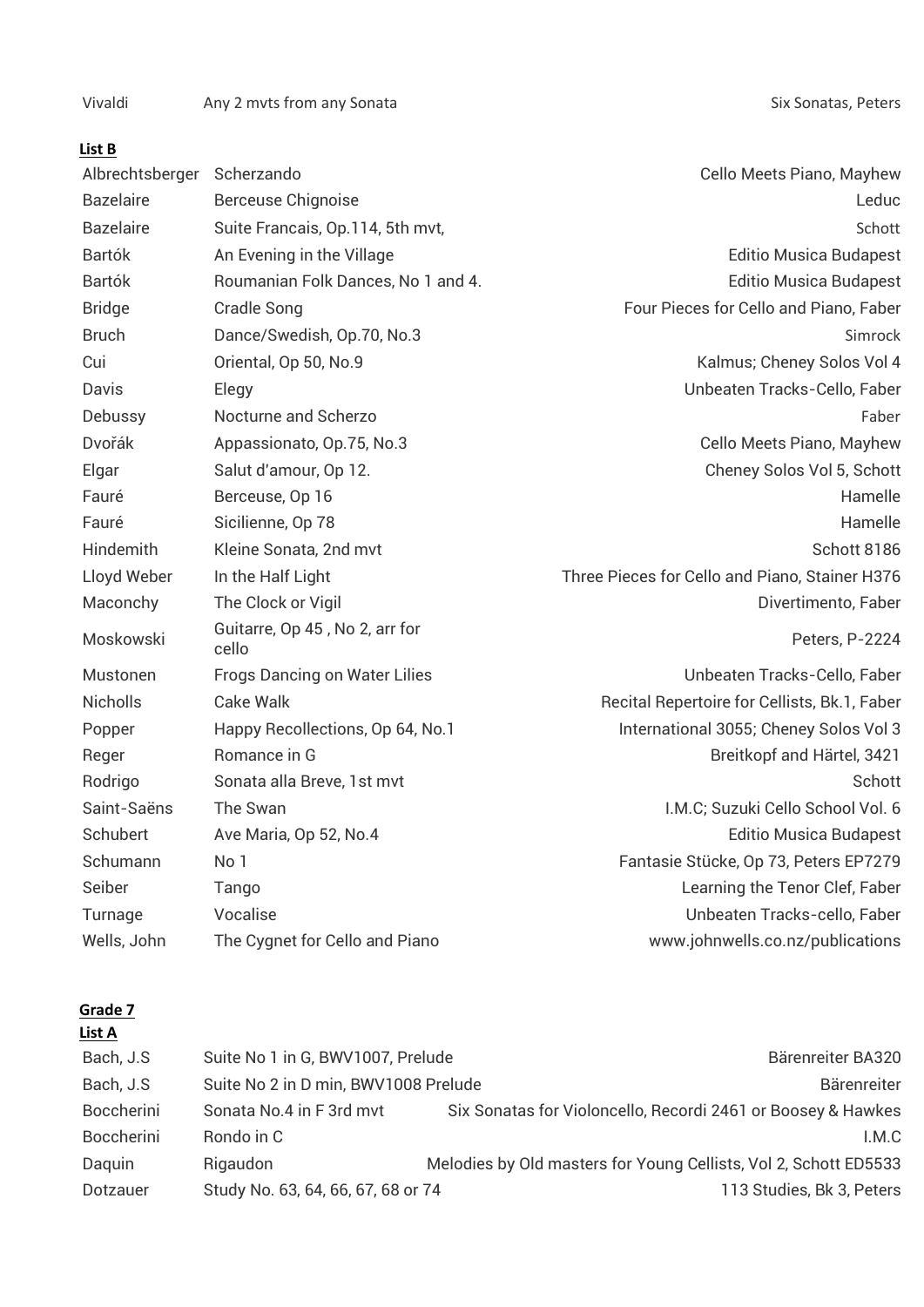Vivaldi Any 2 mvts from any Sonata Any 2 metatra Six Sonatas, Peters

## **List B**

| Albrechtsberger Scherzando |                                         | Cello Meets Piano, Mayhew                      |
|----------------------------|-----------------------------------------|------------------------------------------------|
| <b>Bazelaire</b>           | <b>Berceuse Chignoise</b>               | Leduc                                          |
| <b>Bazelaire</b>           | Suite Francais, Op.114, 5th mvt,        | Schott                                         |
| <b>Bartók</b>              | An Evening in the Village               | <b>Editio Musica Budapest</b>                  |
| <b>Bartók</b>              | Roumanian Folk Dances, No 1 and 4.      | <b>Editio Musica Budapest</b>                  |
| <b>Bridge</b>              | Cradle Song                             | Four Pieces for Cello and Piano, Faber         |
| <b>Bruch</b>               | Dance/Swedish, Op.70, No.3              | Simrock                                        |
| Cui                        | Oriental, Op 50, No.9                   | Kalmus; Cheney Solos Vol 4                     |
| Davis                      | Elegy                                   | Unbeaten Tracks-Cello, Faber                   |
| Debussy                    | Nocturne and Scherzo                    | Faber                                          |
| Dvořák                     | Appassionato, Op.75, No.3               | Cello Meets Piano, Mayhew                      |
| Elgar                      | Salut d'amour, Op 12.                   | Cheney Solos Vol 5, Schott                     |
| Fauré                      | Berceuse, Op 16                         | Hamelle                                        |
| Fauré                      | Sicilienne, Op 78                       | Hamelle                                        |
| Hindemith                  | Kleine Sonata, 2nd mvt                  | Schott 8186                                    |
| Lloyd Weber                | In the Half Light                       | Three Pieces for Cello and Piano, Stainer H376 |
| Maconchy                   | The Clock or Vigil                      | Divertimento, Faber                            |
| Moskowski                  | Guitarre, Op 45, No 2, arr for<br>cello | Peters, P-2224                                 |
| Mustonen                   | <b>Frogs Dancing on Water Lilies</b>    | Unbeaten Tracks-Cello, Faber                   |
| <b>Nicholls</b>            | Cake Walk                               | Recital Repertoire for Cellists, Bk.1, Faber   |
| Popper                     | Happy Recollections, Op 64, No.1        | International 3055; Cheney Solos Vol 3         |
| Reger                      | Romance in G                            | Breitkopf and Härtel, 3421                     |
| Rodrigo                    | Sonata alla Breve, 1st mvt              | Schott                                         |
| Saint-Saëns                | The Swan                                | I.M.C; Suzuki Cello School Vol. 6              |
| Schubert                   | Ave Maria, Op 52, No.4                  | <b>Editio Musica Budapest</b>                  |
| Schumann                   | No 1                                    | Fantasie Stücke, Op 73, Peters EP7279          |
| Seiber                     | Tango                                   | Learning the Tenor Clef, Faber                 |
| Turnage                    | Vocalise                                | Unbeaten Tracks-cello, Faber                   |
| Wells, John                | The Cygnet for Cello and Piano          | www.johnwells.co.nz/publications               |

## **Grade 7**

# **List A**

| Bach, J.S         | Suite No 1 in G, BWV1007, Prelude    |                                                                  | Bärenreiter BA320         |
|-------------------|--------------------------------------|------------------------------------------------------------------|---------------------------|
| Bach, J.S         | Suite No 2 in D min, BWV1008 Prelude |                                                                  | Bärenreiter               |
| Boccherini        | Sonata No.4 in F 3rd mvt             | Six Sonatas for Violoncello, Recordi 2461 or Boosey & Hawkes     |                           |
| <b>Boccherini</b> | Rondo in C                           |                                                                  | LM.C                      |
| Daquin            | Rigaudon                             | Melodies by Old masters for Young Cellists, Vol 2, Schott ED5533 |                           |
| Dotzauer          | Study No. 63, 64, 66, 67, 68 or 74   |                                                                  | 113 Studies, Bk 3, Peters |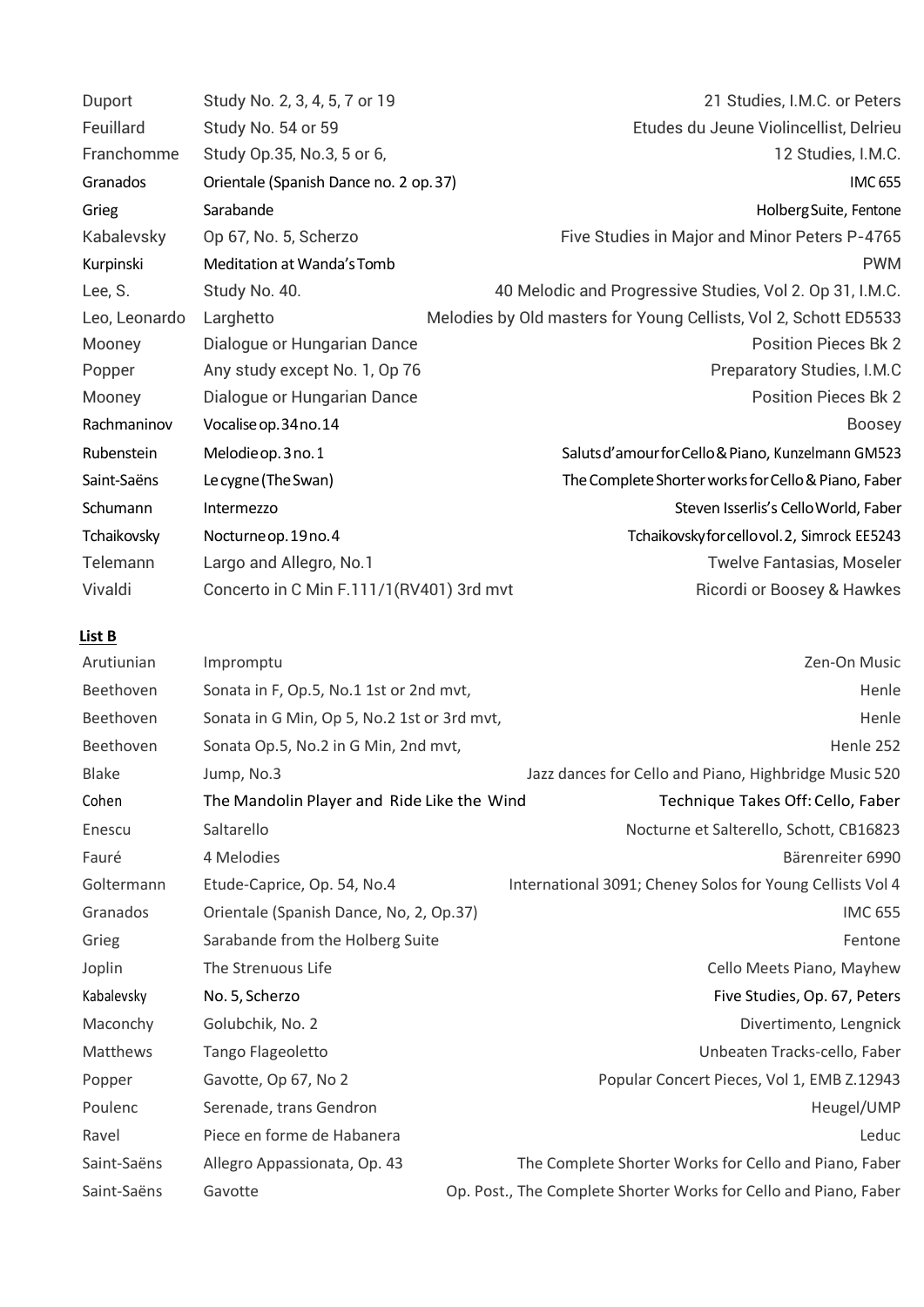| Duport        | Study No. 2, 3, 4, 5, 7 or 19               | 21 Studies, I.M.C. or Peters                                     |
|---------------|---------------------------------------------|------------------------------------------------------------------|
| Feuillard     | Study No. 54 or 59                          | Etudes du Jeune Violincellist, Delrieu                           |
| Franchomme    | Study Op.35, No.3, 5 or 6,                  | 12 Studies, I.M.C.                                               |
| Granados      | Orientale (Spanish Dance no. 2 op. 37)      | <b>IMC 655</b>                                                   |
| Grieg         | Sarabande                                   | Holberg Suite, Fentone                                           |
| Kabalevsky    | Op 67, No. 5, Scherzo                       | Five Studies in Major and Minor Peters P-4765                    |
| Kurpinski     | Meditation at Wanda's Tomb                  | <b>PWM</b>                                                       |
| Lee, S.       | Study No. 40.                               | 40 Melodic and Progressive Studies, Vol 2. Op 31, I.M.C.         |
| Leo, Leonardo | Larghetto                                   | Melodies by Old masters for Young Cellists, Vol 2, Schott ED5533 |
| Mooney        | Dialogue or Hungarian Dance                 | <b>Position Pieces Bk 2</b>                                      |
| Popper        | Any study except No. 1, Op 76               | Preparatory Studies, I.M.C                                       |
| Mooney        | Dialogue or Hungarian Dance                 | <b>Position Pieces Bk 2</b>                                      |
| Rachmaninov   | Vocalise op. 34 no. 14                      | <b>Boosey</b>                                                    |
| Rubenstein    | Melodie op. 3 no. 1                         | Saluts d'amour for Cello & Piano, Kunzelmann GM523               |
| Saint-Saëns   | Le cygne (The Swan)                         | The Complete Shorter works for Cello & Piano, Faber              |
| Schumann      | Intermezzo                                  | Steven Isserlis's Cello World, Faber                             |
| Tchaikovsky   | Nocturne op. 19 no. 4                       | Tchaikovskyforcellovol.2, Simrock EE5243                         |
| Telemann      | Largo and Allegro, No.1                     | <b>Twelve Fantasias, Moseler</b>                                 |
| Vivaldi       | Concerto in C Min F.111/1(RV401) 3rd mvt    | Ricordi or Boosey & Hawkes                                       |
| List B        |                                             |                                                                  |
| Arutiunian    | Impromptu                                   | Zen-On Music                                                     |
| Beethoven     | Sonata in F, Op.5, No.1 1st or 2nd mvt,     | Henle                                                            |
| Beethoven     | Sonata in G Min, Op 5, No.2 1st or 3rd mvt, | Henle                                                            |
| Beethoven     | Sonata Op.5, No.2 in G Min, 2nd mvt,        | Henle 252                                                        |
| <b>Blake</b>  | Jump, No.3                                  | Jazz dances for Cello and Piano, Highbridge Music 520            |
| Cohen         | The Mandolin Player and Ride Like the Wind  | Technique Takes Off: Cello, Faber                                |
| Enescu        | Saltarello                                  | Nocturne et Salterello, Schott, CB16823                          |
| Fauré         | 4 Melodies                                  | Bärenreiter 6990                                                 |
| Goltermann    | Etude-Caprice, Op. 54, No.4                 | International 3091; Cheney Solos for Young Cellists Vol 4        |
| Granados      | Orientale (Spanish Dance, No, 2, Op.37)     | <b>IMC 655</b>                                                   |
| Grieg         | Sarabande from the Holberg Suite            | Fentone                                                          |
| Joplin        | The Strenuous Life                          | Cello Meets Piano, Mayhew                                        |
| Kabalevsky    | No. 5, Scherzo                              | Five Studies, Op. 67, Peters                                     |
| Maconchy      | Golubchik, No. 2                            | Divertimento, Lengnick                                           |
| Matthews      | Tango Flageoletto                           | Unbeaten Tracks-cello, Faber                                     |
| Popper        | Gavotte, Op 67, No 2                        | Popular Concert Pieces, Vol 1, EMB Z.12943                       |
| Poulenc       | Serenade, trans Gendron                     | Heugel/UMP                                                       |
| Ravel         | Piece en forme de Habanera                  | Leduc                                                            |
| Saint-Saëns   | Allegro Appassionata, Op. 43                | The Complete Shorter Works for Cello and Piano, Faber            |
| Saint-Saëns   |                                             |                                                                  |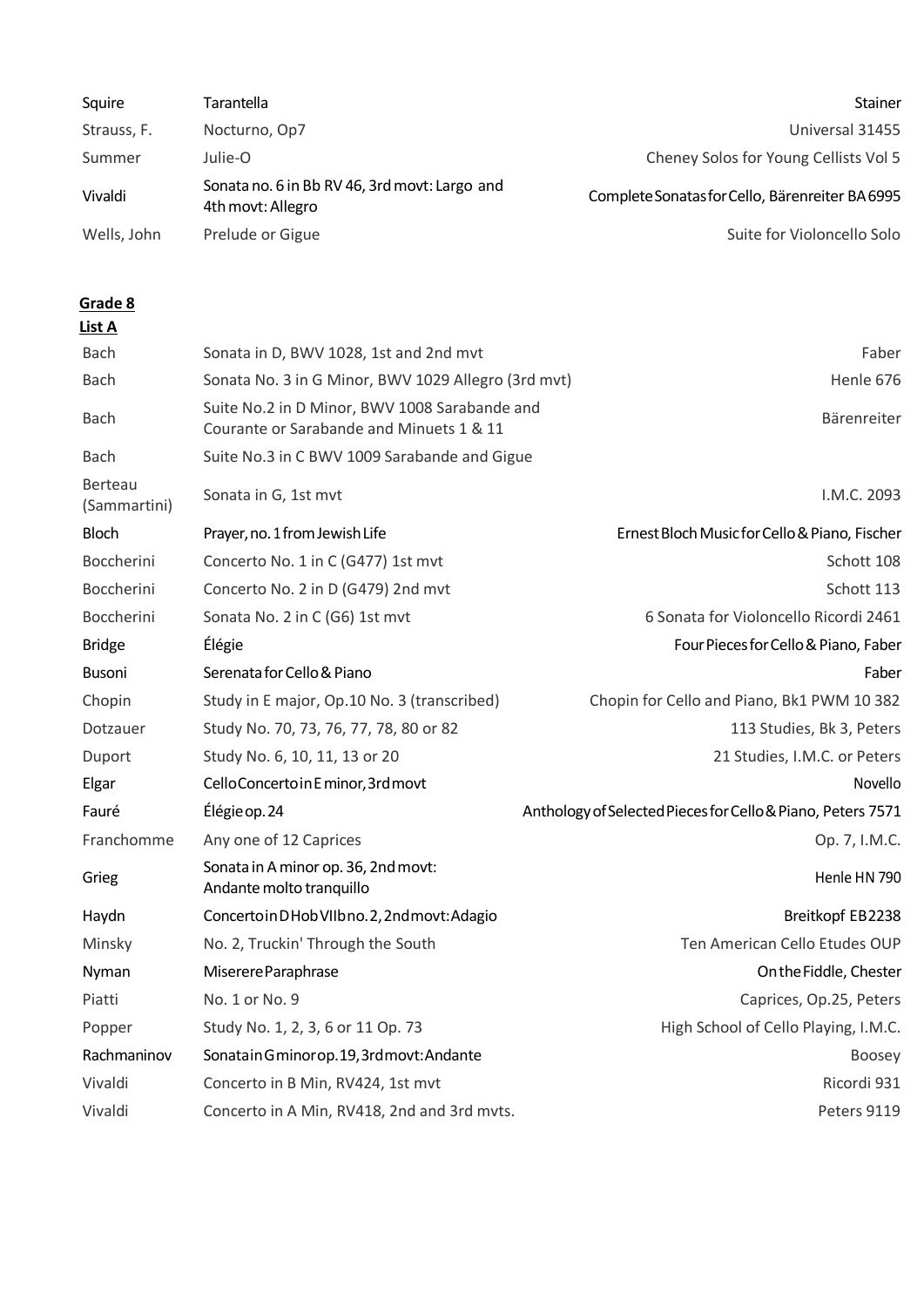| Squire      | Tarantella                                                         | Stainer                                         |
|-------------|--------------------------------------------------------------------|-------------------------------------------------|
| Strauss, F. | Nocturno, Op7                                                      | Universal 31455                                 |
| Summer      | Julie-O                                                            | Cheney Solos for Young Cellists Vol 5           |
| Vivaldi     | Sonata no. 6 in Bb RV 46, 3rd movt: Largo and<br>4th movt: Allegro | Complete Sonatas for Cello, Bärenreiter BA 6995 |
| Wells, John | Prelude or Gigue                                                   | Suite for Violoncello Solo                      |

| ۰.<br>٠ |  |
|---------|--|
|         |  |

| <b>Bach</b>                    | Sonata in D, BWV 1028, 1st and 2nd mvt                                                    | Faber                                                       |
|--------------------------------|-------------------------------------------------------------------------------------------|-------------------------------------------------------------|
| <b>Bach</b>                    | Sonata No. 3 in G Minor, BWV 1029 Allegro (3rd mvt)                                       | Henle 676                                                   |
| <b>Bach</b>                    | Suite No.2 in D Minor, BWV 1008 Sarabande and<br>Courante or Sarabande and Minuets 1 & 11 | Bärenreiter                                                 |
| <b>Bach</b>                    | Suite No.3 in C BWV 1009 Sarabande and Gigue                                              |                                                             |
| <b>Berteau</b><br>(Sammartini) | Sonata in G, 1st mvt                                                                      | I.M.C. 2093                                                 |
| Bloch                          | Prayer, no. 1 from Jewish Life                                                            | Ernest Bloch Music for Cello & Piano, Fischer               |
| Boccherini                     | Concerto No. 1 in C (G477) 1st mvt                                                        | Schott 108                                                  |
| Boccherini                     | Concerto No. 2 in D (G479) 2nd mvt                                                        | Schott 113                                                  |
| Boccherini                     | Sonata No. 2 in C (G6) 1st mvt                                                            | 6 Sonata for Violoncello Ricordi 2461                       |
| <b>Bridge</b>                  | Élégie                                                                                    | Four Pieces for Cello & Piano, Faber                        |
| Busoni                         | Serenata for Cello & Piano                                                                | Faber                                                       |
| Chopin                         | Study in E major, Op.10 No. 3 (transcribed)                                               | Chopin for Cello and Piano, Bk1 PWM 10 382                  |
| Dotzauer                       | Study No. 70, 73, 76, 77, 78, 80 or 82                                                    | 113 Studies, Bk 3, Peters                                   |
| Duport                         | Study No. 6, 10, 11, 13 or 20                                                             | 21 Studies, I.M.C. or Peters                                |
| Elgar                          | Cello Concerto in E minor, 3rd movt                                                       | Novello                                                     |
| Fauré                          | Élégie op. 24                                                                             | Anthology of Selected Pieces for Cello & Piano, Peters 7571 |
| Franchomme                     | Any one of 12 Caprices                                                                    | Op. 7, I.M.C.                                               |
| Grieg                          | Sonata in A minor op. 36, 2nd movt:<br>Andante molto tranquillo                           | Henle HN 790                                                |
| Haydn                          | Concerto in DHob VIIbno. 2, 2nd movt: Adagio                                              | Breitkopf EB2238                                            |
| Minsky                         | No. 2, Truckin' Through the South                                                         | Ten American Cello Etudes OUP                               |
| Nyman                          | Miserere Paraphrase                                                                       | On the Fiddle, Chester                                      |
| Piatti                         | No. 1 or No. 9                                                                            | Caprices, Op.25, Peters                                     |
| Popper                         | Study No. 1, 2, 3, 6 or 11 Op. 73                                                         | High School of Cello Playing, I.M.C.                        |
| Rachmaninov                    | Sonatain Gminorop. 19, 3rd movt: Andante                                                  | Boosey                                                      |
| Vivaldi                        | Concerto in B Min, RV424, 1st mvt                                                         | Ricordi 931                                                 |
| Vivaldi                        | Concerto in A Min, RV418, 2nd and 3rd mvts.                                               | Peters 9119                                                 |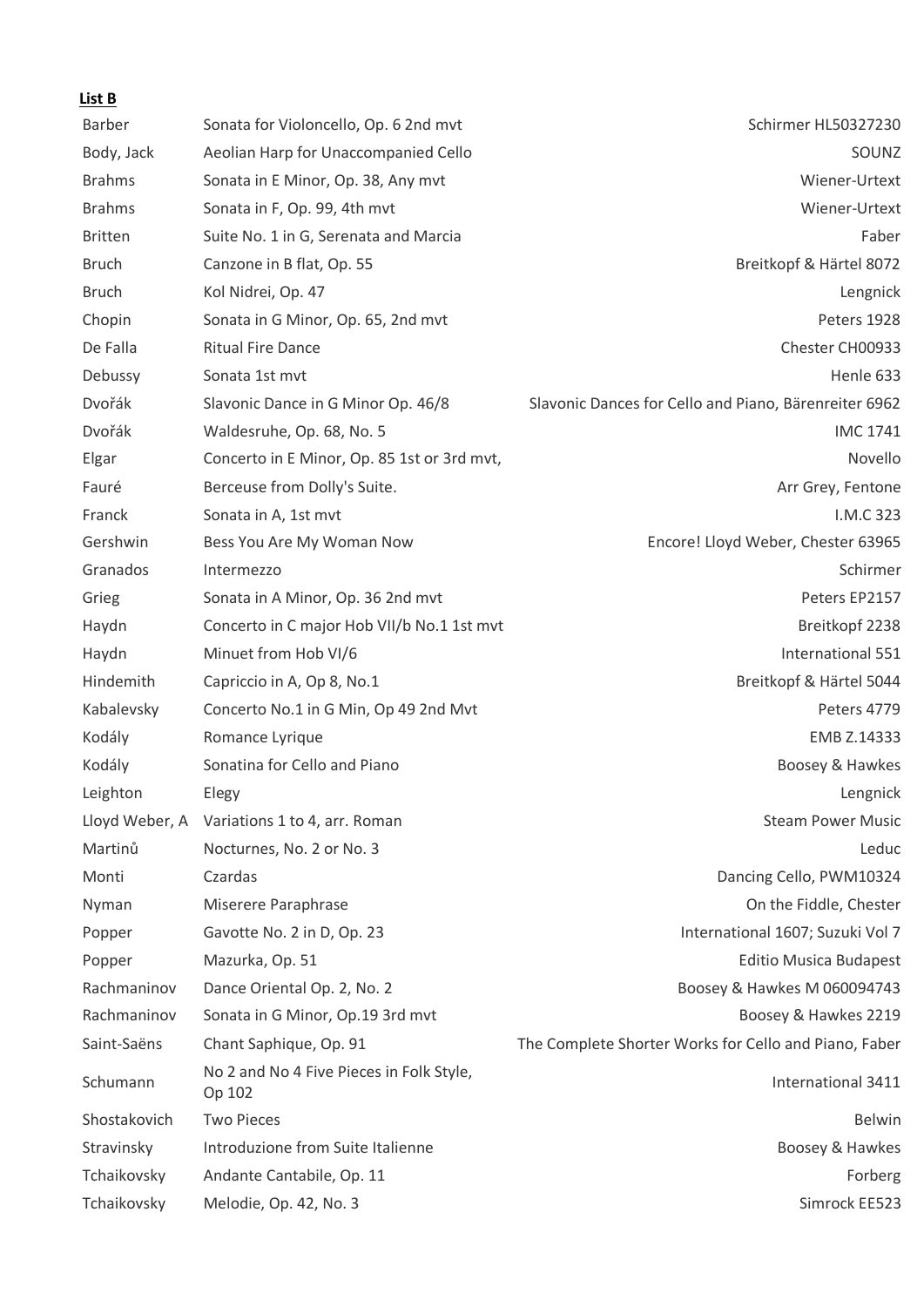| Barber         | Sonata for Violoncello, Op. 6 2nd mvt              | Schirmer HL50327230                                   |
|----------------|----------------------------------------------------|-------------------------------------------------------|
| Body, Jack     | Aeolian Harp for Unaccompanied Cello               | SOUNZ                                                 |
| <b>Brahms</b>  | Sonata in E Minor, Op. 38, Any mvt                 | Wiener-Urtext                                         |
| <b>Brahms</b>  | Sonata in F, Op. 99, 4th mvt                       | Wiener-Urtext                                         |
| <b>Britten</b> | Suite No. 1 in G, Serenata and Marcia              | Faber                                                 |
| <b>Bruch</b>   | Canzone in B flat, Op. 55                          | Breitkopf & Härtel 8072                               |
| <b>Bruch</b>   | Kol Nidrei, Op. 47                                 | Lengnick                                              |
| Chopin         | Sonata in G Minor, Op. 65, 2nd mvt                 | Peters 1928                                           |
| De Falla       | <b>Ritual Fire Dance</b>                           | Chester CH00933                                       |
| Debussy        | Sonata 1st mvt                                     | Henle 633                                             |
| Dvořák         | Slavonic Dance in G Minor Op. 46/8                 | Slavonic Dances for Cello and Piano, Bärenreiter 6962 |
| Dvořák         | Waldesruhe, Op. 68, No. 5                          | <b>IMC 1741</b>                                       |
| Elgar          | Concerto in E Minor, Op. 85 1st or 3rd mvt,        | Novello                                               |
| Fauré          | Berceuse from Dolly's Suite.                       | Arr Grey, Fentone                                     |
| Franck         | Sonata in A, 1st mvt                               | I.M.C 323                                             |
| Gershwin       | Bess You Are My Woman Now                          | Encore! Lloyd Weber, Chester 63965                    |
| Granados       | Intermezzo                                         | Schirmer                                              |
| Grieg          | Sonata in A Minor, Op. 36 2nd mvt                  | Peters EP2157                                         |
| Haydn          | Concerto in C major Hob VII/b No.1 1st mvt         | Breitkopf 2238                                        |
| Haydn          | Minuet from Hob VI/6                               | International 551                                     |
| Hindemith      | Capriccio in A, Op 8, No.1                         | Breitkopf & Härtel 5044                               |
| Kabalevsky     | Concerto No.1 in G Min, Op 49 2nd Mvt              | Peters 4779                                           |
| Kodály         | Romance Lyrique                                    | EMB Z.14333                                           |
| Kodály         | Sonatina for Cello and Piano                       | Boosey & Hawkes                                       |
| Leighton       | Elegy                                              | Lengnick                                              |
|                | Lloyd Weber, A Variations 1 to 4, arr. Roman       | <b>Steam Power Music</b>                              |
| Martinů        | Nocturnes, No. 2 or No. 3                          | Leduc                                                 |
| Monti          | Czardas                                            | Dancing Cello, PWM10324                               |
| Nyman          | Miserere Paraphrase                                | On the Fiddle, Chester                                |
| Popper         | Gavotte No. 2 in D, Op. 23                         | International 1607; Suzuki Vol 7                      |
| Popper         | Mazurka, Op. 51                                    | <b>Editio Musica Budapest</b>                         |
| Rachmaninov    | Dance Oriental Op. 2, No. 2                        | Boosey & Hawkes M 060094743                           |
| Rachmaninov    | Sonata in G Minor, Op.19 3rd mvt                   | Boosey & Hawkes 2219                                  |
| Saint-Saëns    | Chant Saphique, Op. 91                             | The Complete Shorter Works for Cello and Piano, Faber |
| Schumann       | No 2 and No 4 Five Pieces in Folk Style,<br>Op 102 | International 3411                                    |
| Shostakovich   | <b>Two Pieces</b>                                  | <b>Belwin</b>                                         |
| Stravinsky     | Introduzione from Suite Italienne                  | Boosey & Hawkes                                       |
| Tchaikovsky    | Andante Cantabile, Op. 11                          | Forberg                                               |
| Tchaikovsky    | Melodie, Op. 42, No. 3                             | Simrock EE523                                         |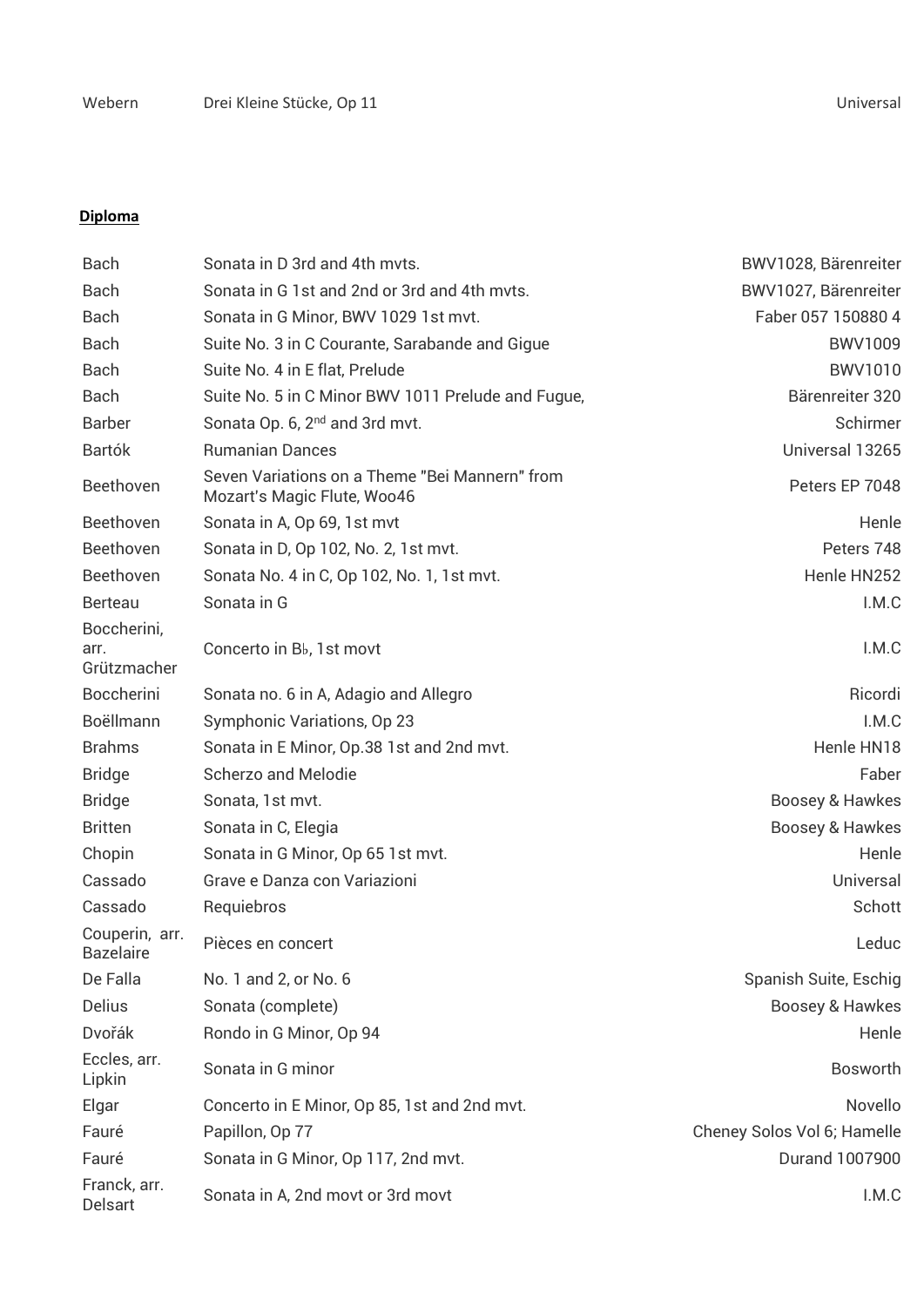## **Diploma**

| <b>Bach</b>                        | Sonata in D 3rd and 4th myts.                                                 | BWV1028, Bärenreiter        |
|------------------------------------|-------------------------------------------------------------------------------|-----------------------------|
| <b>Bach</b>                        | Sonata in G 1st and 2nd or 3rd and 4th myts.                                  | BWV1027, Bärenreiter        |
| <b>Bach</b>                        | Sonata in G Minor, BWV 1029 1st mvt.                                          | Faber 057 150880 4          |
| <b>Bach</b>                        | Suite No. 3 in C Courante, Sarabande and Gigue                                | <b>BWV1009</b>              |
| <b>Bach</b>                        | Suite No. 4 in E flat, Prelude                                                | <b>BWV1010</b>              |
| <b>Bach</b>                        | Suite No. 5 in C Minor BWV 1011 Prelude and Fugue,                            | Bärenreiter 320             |
| <b>Barber</b>                      | Sonata Op. 6, 2 <sup>nd</sup> and 3rd mvt.                                    | Schirmer                    |
| <b>Bartók</b>                      | <b>Rumanian Dances</b>                                                        | Universal 13265             |
| Beethoven                          | Seven Variations on a Theme "Bei Mannern" from<br>Mozart's Magic Flute, Woo46 | Peters EP 7048              |
| Beethoven                          | Sonata in A, Op 69, 1st myt                                                   | Henle                       |
| Beethoven                          | Sonata in D, Op 102, No. 2, 1st mvt.                                          | Peters 748                  |
| Beethoven                          | Sonata No. 4 in C, Op 102, No. 1, 1st mvt.                                    | Henle HN252                 |
| <b>Berteau</b>                     | Sonata in G                                                                   | I.M.C                       |
| Boccherini,                        |                                                                               |                             |
| arr.<br>Grützmacher                | Concerto in B <sub>b</sub> , 1st movt                                         | I.M.C                       |
| <b>Boccherini</b>                  | Sonata no. 6 in A, Adagio and Allegro                                         | Ricordi                     |
| Boëllmann                          | Symphonic Variations, Op 23                                                   | I.M.C                       |
| <b>Brahms</b>                      | Sonata in E Minor, Op.38 1st and 2nd mvt.                                     | Henle HN18                  |
| <b>Bridge</b>                      | <b>Scherzo and Melodie</b>                                                    | Faber                       |
| <b>Bridge</b>                      | Sonata, 1st mvt.                                                              | Boosey & Hawkes             |
| <b>Britten</b>                     | Sonata in C, Elegia                                                           | Boosey & Hawkes             |
| Chopin                             | Sonata in G Minor, Op 65 1st mvt.                                             | Henle                       |
| Cassado                            | Grave e Danza con Variazioni                                                  | Universal                   |
| Cassado                            | Requiebros                                                                    | Schott                      |
| Couperin, arr.<br><b>Bazelaire</b> | Pièces en concert                                                             | Leduc                       |
| De Falla                           | No. 1 and 2, or No. 6                                                         | Spanish Suite, Eschig       |
| <b>Delius</b>                      | Sonata (complete)                                                             | Boosey & Hawkes             |
| Dvořák                             | Rondo in G Minor, Op 94                                                       | Henle                       |
| Eccles, arr.<br>Lipkin             | Sonata in G minor                                                             | <b>Bosworth</b>             |
| Elgar                              | Concerto in E Minor, Op 85, 1st and 2nd mvt.                                  | Novello                     |
| Fauré                              | Papillon, Op 77                                                               | Cheney Solos Vol 6; Hamelle |
| Fauré                              | Sonata in G Minor, Op 117, 2nd mvt.                                           | <b>Durand 1007900</b>       |
| Franck, arr.<br>Delsart            | Sonata in A, 2nd movt or 3rd movt                                             | I.M.C                       |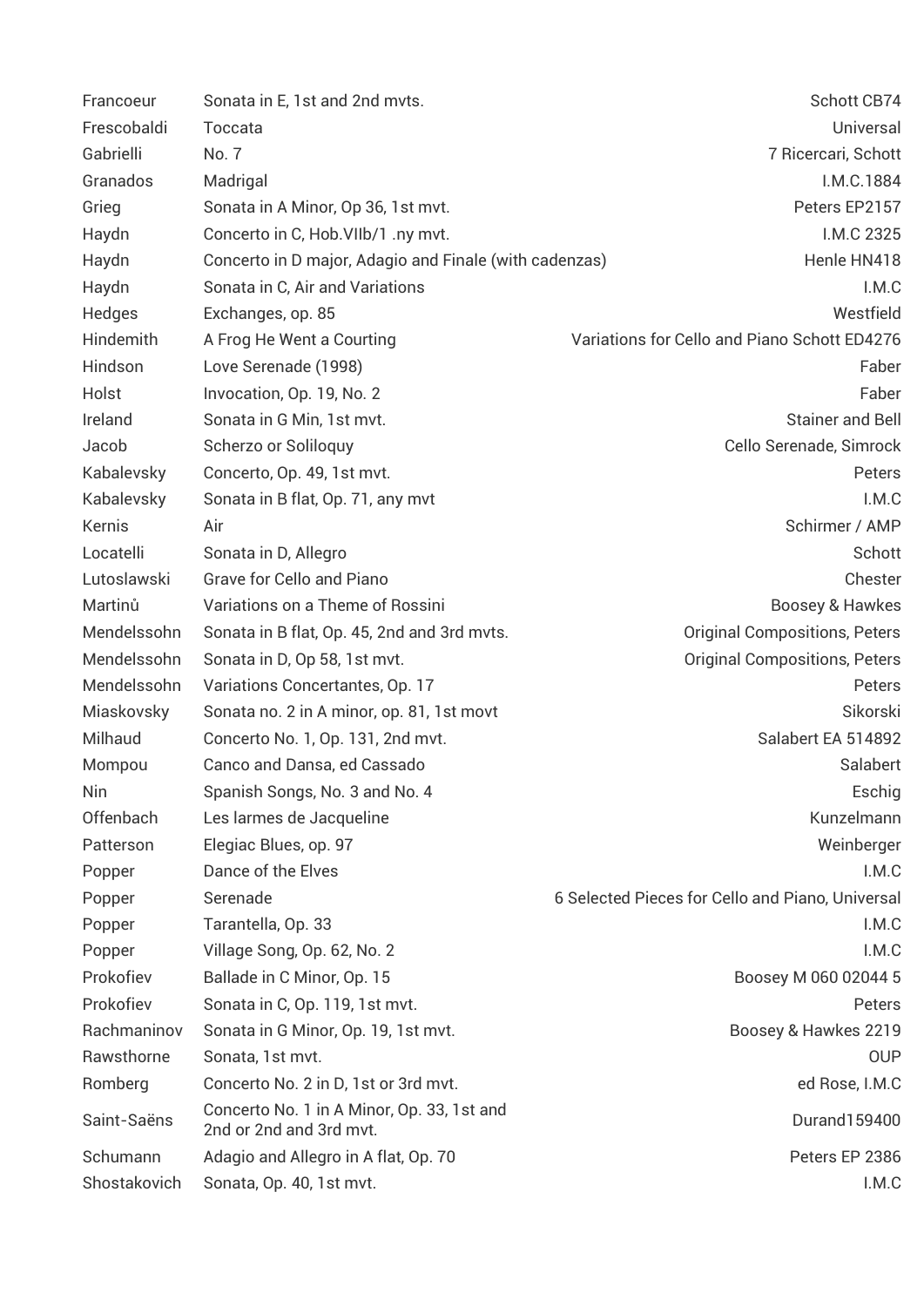| Francoeur    | Sonata in E, 1st and 2nd mvts.                                        | Schott CB74                                      |
|--------------|-----------------------------------------------------------------------|--------------------------------------------------|
| Frescobaldi  | Toccata                                                               | Universal                                        |
| Gabrielli    | No. 7                                                                 | 7 Ricercari, Schott                              |
| Granados     | Madrigal                                                              | I.M.C.1884                                       |
| Grieg        | Sonata in A Minor, Op 36, 1st mvt.                                    | Peters EP2157                                    |
| Haydn        | Concerto in C, Hob. VIIb/1 .ny mvt.                                   | I.M.C 2325                                       |
| Haydn        | Concerto in D major, Adagio and Finale (with cadenzas)                | Henle HN418                                      |
| Haydn        | Sonata in C, Air and Variations                                       | I.M.C                                            |
| Hedges       | Exchanges, op. 85                                                     | Westfield                                        |
| Hindemith    | A Frog He Went a Courting                                             | Variations for Cello and Piano Schott ED4276     |
| Hindson      | Love Serenade (1998)                                                  | Faber                                            |
| Holst        | Invocation, Op. 19, No. 2                                             | Faber                                            |
| Ireland      | Sonata in G Min, 1st mvt.                                             | <b>Stainer and Bell</b>                          |
| Jacob        | Scherzo or Soliloquy                                                  | Cello Serenade, Simrock                          |
| Kabalevsky   | Concerto, Op. 49, 1st mvt.                                            | Peters                                           |
| Kabalevsky   | Sonata in B flat, Op. 71, any mvt                                     | I.M.C                                            |
| Kernis       | Air                                                                   | Schirmer / AMP                                   |
| Locatelli    | Sonata in D, Allegro                                                  | Schott                                           |
| Lutoslawski  | Grave for Cello and Piano                                             | Chester                                          |
| Martinů      | Variations on a Theme of Rossini                                      | Boosey & Hawkes                                  |
| Mendelssohn  | Sonata in B flat, Op. 45, 2nd and 3rd myts.                           | <b>Original Compositions, Peters</b>             |
| Mendelssohn  | Sonata in D, Op 58, 1st mvt.                                          | <b>Original Compositions, Peters</b>             |
| Mendelssohn  | Variations Concertantes, Op. 17                                       | Peters                                           |
| Miaskovsky   | Sonata no. 2 in A minor, op. 81, 1st movt                             | Sikorski                                         |
| Milhaud      | Concerto No. 1, Op. 131, 2nd mvt.                                     | Salabert EA 514892                               |
| Mompou       | Canco and Dansa, ed Cassado                                           | Salabert                                         |
| Nin          | Spanish Songs, No. 3 and No. 4                                        | Eschig                                           |
| Offenbach    | Les larmes de Jacqueline                                              | Kunzelmann                                       |
| Patterson    | Elegiac Blues, op. 97                                                 | Weinberger                                       |
| Popper       | Dance of the Elves                                                    | I.M.C                                            |
| Popper       | Serenade                                                              | 6 Selected Pieces for Cello and Piano, Universal |
| Popper       | Tarantella, Op. 33                                                    | I.M.C                                            |
| Popper       | Village Song, Op. 62, No. 2                                           | I.M.C                                            |
| Prokofiev    | Ballade in C Minor, Op. 15                                            | Boosey M 060 02044 5                             |
| Prokofiev    | Sonata in C, Op. 119, 1st mvt.                                        | Peters                                           |
| Rachmaninov  | Sonata in G Minor, Op. 19, 1st mvt.                                   | Boosey & Hawkes 2219                             |
| Rawsthorne   | Sonata, 1st mvt.                                                      | <b>OUP</b>                                       |
| Romberg      | Concerto No. 2 in D, 1st or 3rd mvt.                                  | ed Rose, I.M.C                                   |
| Saint-Saëns  | Concerto No. 1 in A Minor, Op. 33, 1st and<br>2nd or 2nd and 3rd mvt. | Durand159400                                     |
| Schumann     | Adagio and Allegro in A flat, Op. 70                                  | Peters EP 2386                                   |
| Shostakovich | Sonata, Op. 40, 1st mvt.                                              | I.M.C                                            |